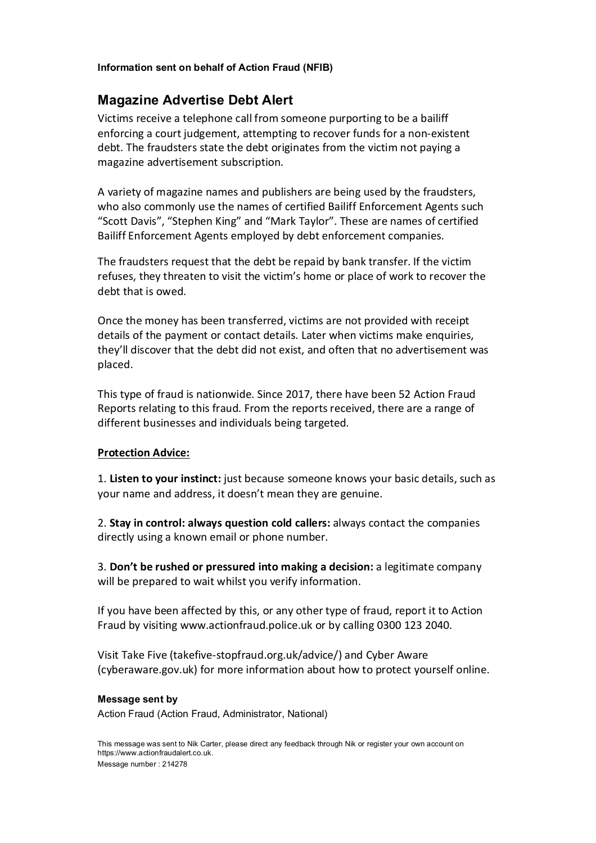## Information sent on behalf of Action Fraud (NFIB)

# Magazine Advertise Debt Alert

Victims receive a telephone call from someone purporting to be a bailiff enforcing a court judgement, attempting to recover funds for a non-existent debt. The fraudsters state the debt originates from the victim not paying a magazine advertisement subscription.

A variety of magazine names and publishers are being used by the fraudsters, who also commonly use the names of certified Bailiff Enforcement Agents such "Scott Davis", "Stephen King" and "Mark Taylor". These are names of certified Bailiff Enforcement Agents employed by debt enforcement companies.

The fraudsters request that the debt be repaid by bank transfer. If the victim refuses, they threaten to visit the victim's home or place of work to recover the debt that is owed.

Once the money has been transferred, victims are not provided with receipt details of the payment or contact details. Later when victims make enquiries, they'll discover that the debt did not exist, and often that no advertisement was placed.

This type of fraud is nationwide. Since 2017, there have been 52 Action Fraud Reports relating to this fraud. From the reports received, there are a range of different businesses and individuals being targeted.

### Protection Advice:

1. Listen to your instinct: just because someone knows your basic details, such as your name and address, it doesn't mean they are genuine.

2. Stay in control: always question cold callers: always contact the companies directly using a known email or phone number.

3. Don't be rushed or pressured into making a decision: a legitimate company will be prepared to wait whilst you verify information.

If you have been affected by this, or any other type of fraud, report it to Action Fraud by visiting www.actionfraud.police.uk or by calling 0300 123 2040.

Visit Take Five (takefive-stopfraud.org.uk/advice/) and Cyber Aware (cyberaware.gov.uk) for more information about how to protect yourself online.

#### Message sent by

Action Fraud (Action Fraud, Administrator, National)

This message was sent to Nik Carter, please direct any feedback through Nik or register your own account on https://www.actionfraudalert.co.uk.

Message number : 214278